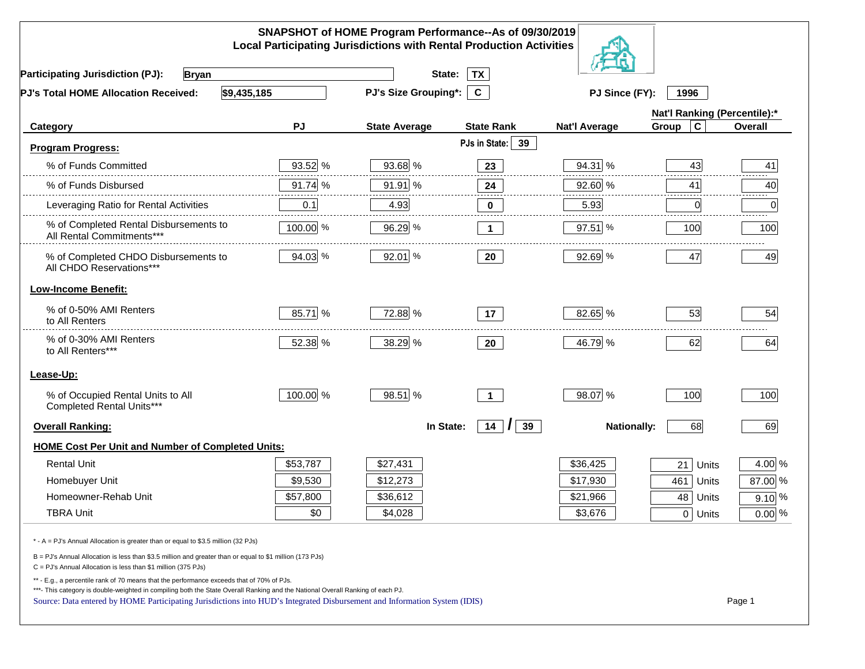| SNAPSHOT of HOME Program Performance--As of 09/30/2019<br><b>Local Participating Jurisdictions with Rental Production Activities</b>                                                                                                                                                                                                                     |          |                      |                     |                      |                              |                |
|----------------------------------------------------------------------------------------------------------------------------------------------------------------------------------------------------------------------------------------------------------------------------------------------------------------------------------------------------------|----------|----------------------|---------------------|----------------------|------------------------------|----------------|
| <b>Participating Jurisdiction (PJ):</b><br><b>Bryan</b>                                                                                                                                                                                                                                                                                                  |          | State:               | <b>TX</b>           |                      |                              |                |
| \$9,435,185<br>PJ's Total HOME Allocation Received:                                                                                                                                                                                                                                                                                                      |          | PJ's Size Grouping*: | $\mathbf{C}$        | PJ Since (FY):       | 1996                         |                |
|                                                                                                                                                                                                                                                                                                                                                          |          |                      |                     |                      | Nat'l Ranking (Percentile):* |                |
| Category                                                                                                                                                                                                                                                                                                                                                 | PJ       | <b>State Average</b> | <b>State Rank</b>   | <b>Nat'l Average</b> | $\mathbf c$<br>Group         | <b>Overall</b> |
| <b>Program Progress:</b>                                                                                                                                                                                                                                                                                                                                 |          |                      | PJs in State:<br>39 |                      |                              |                |
| % of Funds Committed                                                                                                                                                                                                                                                                                                                                     | 93.52 %  | 93.68 %              | 23                  | 94.31 %              | 43                           | 41             |
| % of Funds Disbursed                                                                                                                                                                                                                                                                                                                                     | 91.74 %  | 91.91 %              | 24                  | 92.60 %              | 41                           | 40             |
| Leveraging Ratio for Rental Activities                                                                                                                                                                                                                                                                                                                   | 0.1      | 4.93                 | 0                   | 5.93                 | 0                            | .<br>0         |
| % of Completed Rental Disbursements to<br>All Rental Commitments***                                                                                                                                                                                                                                                                                      | 100.00 % | 96.29 %              | $\mathbf 1$         | $97.51$ %            | 100                          | 100            |
| % of Completed CHDO Disbursements to<br>All CHDO Reservations***                                                                                                                                                                                                                                                                                         | 94.03 %  | 92.01 %              | 20                  | 92.69 %              | 47                           | 49             |
| <b>Low-Income Benefit:</b>                                                                                                                                                                                                                                                                                                                               |          |                      |                     |                      |                              |                |
| % of 0-50% AMI Renters<br>to All Renters                                                                                                                                                                                                                                                                                                                 | 85.71 %  | 72.88 %              | 17                  | 82.65 %              | 53                           | 54             |
| % of 0-30% AMI Renters<br>to All Renters***                                                                                                                                                                                                                                                                                                              | 52.38 %  | 38.29 %              | 20                  | 46.79 %              | 62                           | 64             |
| Lease-Up:                                                                                                                                                                                                                                                                                                                                                |          |                      |                     |                      |                              |                |
| % of Occupied Rental Units to All<br>Completed Rental Units***                                                                                                                                                                                                                                                                                           | 100.00 % | 98.51 %              | $\mathbf{1}$        | 98.07 %              | 100                          | 100            |
| <b>Overall Ranking:</b>                                                                                                                                                                                                                                                                                                                                  |          | In State:            | $14$ $ $<br>39      | <b>Nationally:</b>   | 68                           | 69             |
| <b>HOME Cost Per Unit and Number of Completed Units:</b>                                                                                                                                                                                                                                                                                                 |          |                      |                     |                      |                              |                |
| <b>Rental Unit</b>                                                                                                                                                                                                                                                                                                                                       | \$53,787 | \$27,431             |                     | \$36,425             | 21<br>Units                  | 4.00 %         |
| Homebuyer Unit                                                                                                                                                                                                                                                                                                                                           | \$9,530  | \$12,273             |                     | \$17,930             | 461<br>Units                 | 87.00 %        |
| Homeowner-Rehab Unit                                                                                                                                                                                                                                                                                                                                     | \$57,800 | \$36,612             |                     | \$21,966             | 48<br>Units                  | $9.10\%$       |
| <b>TBRA Unit</b>                                                                                                                                                                                                                                                                                                                                         | \$0      | \$4,028              |                     | \$3,676              | 0 Units                      | $0.00\%$       |
| * - A = PJ's Annual Allocation is greater than or equal to \$3.5 million (32 PJs)                                                                                                                                                                                                                                                                        |          |                      |                     |                      |                              |                |
| B = PJ's Annual Allocation is less than \$3.5 million and greater than or equal to \$1 million (173 PJs)<br>$C = PJ's$ Annual Allocation is less than \$1 million (375 PJs)                                                                                                                                                                              |          |                      |                     |                      |                              |                |
| ** - E.g., a percentile rank of 70 means that the performance exceeds that of 70% of PJs.<br>***- This category is double-weighted in compiling both the State Overall Ranking and the National Overall Ranking of each PJ.<br>Source: Data entered by HOME Participating Jurisdictions into HUD's Integrated Disbursement and Information System (IDIS) |          |                      |                     |                      |                              | Page 1         |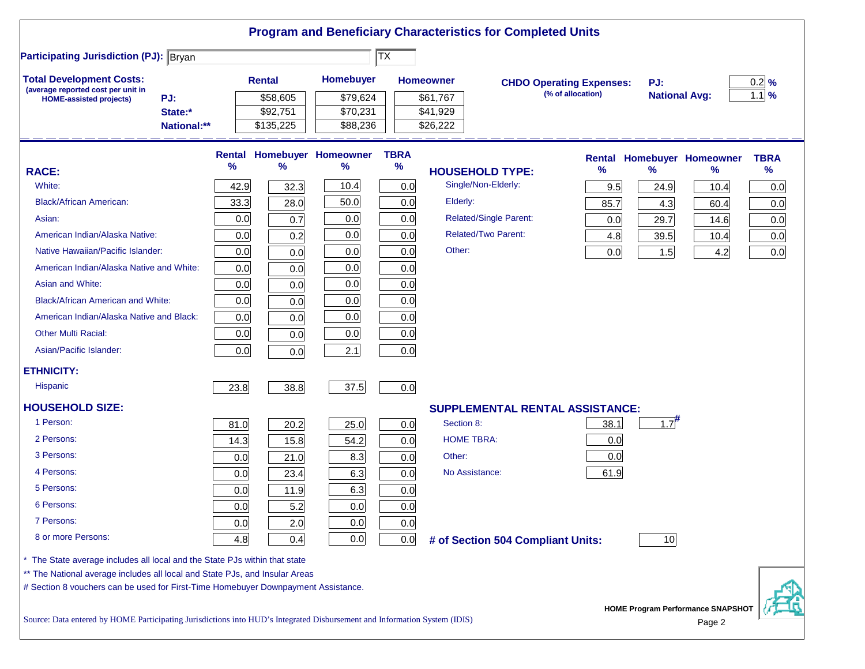|                                                                                                                           |      |               |                                   |                                     |                  | <b>Program and Beneficiary Characteristics for Completed Units</b> |                   |                      |                                             |             |
|---------------------------------------------------------------------------------------------------------------------------|------|---------------|-----------------------------------|-------------------------------------|------------------|--------------------------------------------------------------------|-------------------|----------------------|---------------------------------------------|-------------|
| <b>Participating Jurisdiction (PJ): Bryan</b>                                                                             |      |               |                                   | $ \overline{\mathsf{T}}\mathsf{X} $ |                  |                                                                    |                   |                      |                                             |             |
| <b>Total Development Costs:</b>                                                                                           |      | <b>Rental</b> | Homebuyer                         |                                     | <b>Homeowner</b> | <b>CHDO Operating Expenses:</b>                                    |                   | PJ:                  |                                             | $0.2$ %     |
| (average reported cost per unit in<br>PJ:<br><b>HOME-assisted projects)</b>                                               |      | \$58,605      | \$79,624                          |                                     | \$61,767         |                                                                    | (% of allocation) | <b>National Avg:</b> |                                             | $1.1\%$     |
| State:*                                                                                                                   |      | \$92,751      | \$70,231                          |                                     | \$41,929         |                                                                    |                   |                      |                                             |             |
| National:**                                                                                                               |      | \$135,225     | \$88,236                          |                                     | \$26,222         |                                                                    |                   |                      |                                             |             |
|                                                                                                                           |      |               | <b>Rental Homebuyer Homeowner</b> | <b>TBRA</b>                         |                  |                                                                    |                   |                      | <b>Rental Homebuyer Homeowner</b>           | <b>TBRA</b> |
| <b>RACE:</b>                                                                                                              | %    | $\%$          | $\%$                              | $\%$                                |                  | <b>HOUSEHOLD TYPE:</b>                                             | %                 | $\frac{9}{6}$        | %                                           | $\%$        |
| White:                                                                                                                    | 42.9 | 32.3          | 10.4                              | 0.0                                 |                  | Single/Non-Elderly:                                                | 9.5               | 24.9                 | 10.4                                        | 0.0         |
| <b>Black/African American:</b>                                                                                            | 33.3 | 28.0          | 50.0                              | 0.0                                 | Elderly:         |                                                                    | 85.7              | 4.3                  | 60.4                                        | 0.0         |
| Asian:                                                                                                                    | 0.0  | 0.7           | 0.0                               | 0.0                                 |                  | <b>Related/Single Parent:</b>                                      | 0.0               | 29.7                 | 14.6                                        | 0.0         |
| American Indian/Alaska Native:                                                                                            | 0.0  | 0.2           | 0.0                               | 0.0                                 |                  | <b>Related/Two Parent:</b>                                         | 4.8               | 39.5                 | 10.4                                        | 0.0         |
| Native Hawaiian/Pacific Islander:                                                                                         | 0.0  | 0.0           | 0.0                               | 0.0                                 | Other:           |                                                                    | 0.0               | 1.5                  | 4.2                                         | 0.0         |
| American Indian/Alaska Native and White:                                                                                  | 0.0  | 0.0           | 0.0                               | 0.0                                 |                  |                                                                    |                   |                      |                                             |             |
| Asian and White:                                                                                                          | 0.0  | 0.0           | 0.0                               | 0.0                                 |                  |                                                                    |                   |                      |                                             |             |
| <b>Black/African American and White:</b>                                                                                  | 0.0  | 0.0           | 0.0                               | 0.0                                 |                  |                                                                    |                   |                      |                                             |             |
| American Indian/Alaska Native and Black:                                                                                  | 0.0  | 0.0           | 0.0                               | 0.0                                 |                  |                                                                    |                   |                      |                                             |             |
| <b>Other Multi Racial:</b>                                                                                                | 0.0  | 0.0           | 0.0                               | 0.0                                 |                  |                                                                    |                   |                      |                                             |             |
| Asian/Pacific Islander:                                                                                                   | 0.0  | 0.0           | 2.1                               | 0.0                                 |                  |                                                                    |                   |                      |                                             |             |
| <b>ETHNICITY:</b>                                                                                                         |      |               |                                   |                                     |                  |                                                                    |                   |                      |                                             |             |
| <b>Hispanic</b>                                                                                                           | 23.8 | 38.8          | 37.5                              | 0.0                                 |                  |                                                                    |                   |                      |                                             |             |
| <b>HOUSEHOLD SIZE:</b>                                                                                                    |      |               |                                   |                                     |                  | <b>SUPPLEMENTAL RENTAL ASSISTANCE:</b>                             |                   |                      |                                             |             |
| 1 Person:                                                                                                                 | 81.0 | 20.2          | 25.0                              | 0.0                                 | Section 8:       |                                                                    | 38.1              | $1.7$ <sup>#</sup>   |                                             |             |
| 2 Persons:                                                                                                                | 14.3 | 15.8          | 54.2                              | 0.0                                 |                  | <b>HOME TBRA:</b>                                                  | 0.0               |                      |                                             |             |
| 3 Persons:                                                                                                                | 0.0  | 21.0          | 8.3                               | 0.0                                 | Other:           |                                                                    | 0.0               |                      |                                             |             |
| 4 Persons:                                                                                                                | 0.0  | 23.4          | 6.3                               | 0.0                                 |                  | No Assistance:                                                     | 61.9              |                      |                                             |             |
| 5 Persons:                                                                                                                | 0.0  | 11.9          | 6.3                               | 0.0                                 |                  |                                                                    |                   |                      |                                             |             |
| 6 Persons:                                                                                                                | 0.0  | 5.2           | 0.0                               | 0.0                                 |                  |                                                                    |                   |                      |                                             |             |
| 7 Persons:                                                                                                                | 0.0  | 2.0           | 0.0                               | 0.0                                 |                  |                                                                    |                   |                      |                                             |             |
| 8 or more Persons:                                                                                                        | 4.8  | 0.4           | 0.0                               | 0.0                                 |                  | # of Section 504 Compliant Units:                                  |                   | 10                   |                                             |             |
| * The State average includes all local and the State PJs within that state                                                |      |               |                                   |                                     |                  |                                                                    |                   |                      |                                             |             |
| ** The National average includes all local and State PJs, and Insular Areas                                               |      |               |                                   |                                     |                  |                                                                    |                   |                      |                                             |             |
| # Section 8 vouchers can be used for First-Time Homebuyer Downpayment Assistance.                                         |      |               |                                   |                                     |                  |                                                                    |                   |                      |                                             |             |
| Source: Data entered by HOME Participating Jurisdictions into HUD's Integrated Disbursement and Information System (IDIS) |      |               |                                   |                                     |                  |                                                                    |                   |                      | HOME Program Performance SNAPSHOT<br>Page 2 |             |